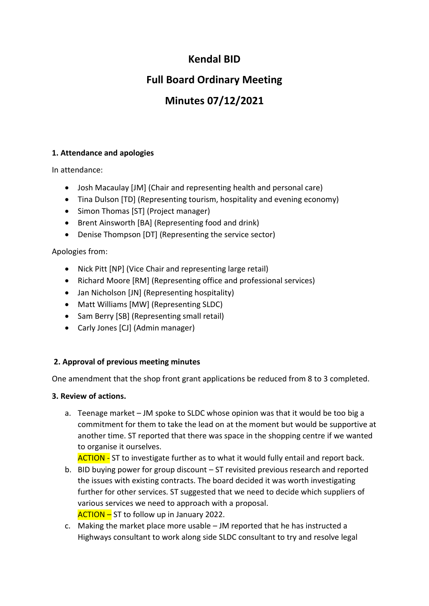## **Kendal BID**

# **Full Board Ordinary Meeting**

# **Minutes 07/12/2021**

## **1. Attendance and apologies**

In attendance:

- Josh Macaulay [JM] (Chair and representing health and personal care)
- Tina Dulson [TD] (Representing tourism, hospitality and evening economy)
- Simon Thomas [ST] (Project manager)
- Brent Ainsworth [BA] (Representing food and drink)
- Denise Thompson [DT] (Representing the service sector)

## Apologies from:

- Nick Pitt [NP] (Vice Chair and representing large retail)
- Richard Moore [RM] (Representing office and professional services)
- Jan Nicholson [JN] (Representing hospitality)
- Matt Williams [MW] (Representing SLDC)
- Sam Berry [SB] (Representing small retail)
- Carly Jones [CJ] (Admin manager)

## **2. Approval of previous meeting minutes**

One amendment that the shop front grant applications be reduced from 8 to 3 completed.

## **3. Review of actions.**

a. Teenage market – JM spoke to SLDC whose opinion was that it would be too big a commitment for them to take the lead on at the moment but would be supportive at another time. ST reported that there was space in the shopping centre if we wanted to organise it ourselves.

ACTION - ST to investigate further as to what it would fully entail and report back.

- b. BID buying power for group discount ST revisited previous research and reported the issues with existing contracts. The board decided it was worth investigating further for other services. ST suggested that we need to decide which suppliers of various services we need to approach with a proposal. ACTION – ST to follow up in January 2022.
- c. Making the market place more usable JM reported that he has instructed a Highways consultant to work along side SLDC consultant to try and resolve legal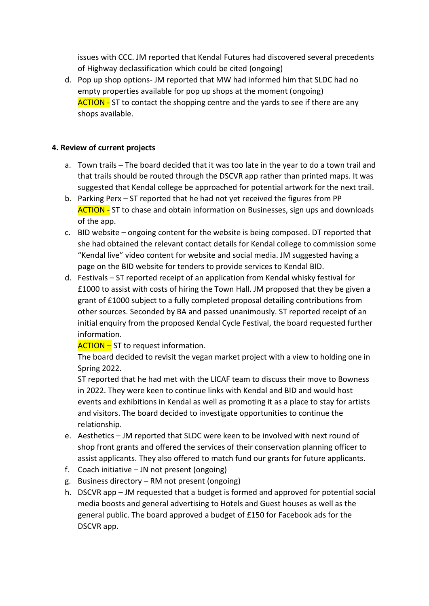issues with CCC. JM reported that Kendal Futures had discovered several precedents of Highway declassification which could be cited (ongoing)

d. Pop up shop options- JM reported that MW had informed him that SLDC had no empty properties available for pop up shops at the moment (ongoing) **ACTION -** ST to contact the shopping centre and the yards to see if there are any shops available.

#### **4. Review of current projects**

- a. Town trails The board decided that it was too late in the year to do a town trail and that trails should be routed through the DSCVR app rather than printed maps. It was suggested that Kendal college be approached for potential artwork for the next trail.
- b. Parking Perx ST reported that he had not yet received the figures from PP **ACTION - ST to chase and obtain information on Businesses, sign ups and downloads** of the app.
- c. BID website ongoing content for the website is being composed. DT reported that she had obtained the relevant contact details for Kendal college to commission some "Kendal live" video content for website and social media. JM suggested having a page on the BID website for tenders to provide services to Kendal BID.
- d. Festivals ST reported receipt of an application from Kendal whisky festival for £1000 to assist with costs of hiring the Town Hall. JM proposed that they be given a grant of £1000 subject to a fully completed proposal detailing contributions from other sources. Seconded by BA and passed unanimously. ST reported receipt of an initial enquiry from the proposed Kendal Cycle Festival, the board requested further information.

ACTION – ST to request information.

The board decided to revisit the vegan market project with a view to holding one in Spring 2022.

ST reported that he had met with the LICAF team to discuss their move to Bowness in 2022. They were keen to continue links with Kendal and BID and would host events and exhibitions in Kendal as well as promoting it as a place to stay for artists and visitors. The board decided to investigate opportunities to continue the relationship.

- e. Aesthetics JM reported that SLDC were keen to be involved with next round of shop front grants and offered the services of their conservation planning officer to assist applicants. They also offered to match fund our grants for future applicants.
- f. Coach initiative JN not present (ongoing)
- g. Business directory RM not present (ongoing)
- h. DSCVR app JM requested that a budget is formed and approved for potential social media boosts and general advertising to Hotels and Guest houses as well as the general public. The board approved a budget of £150 for Facebook ads for the DSCVR app.